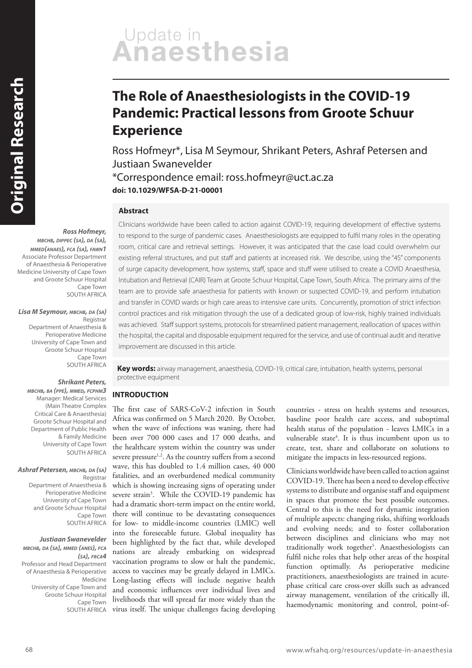# Update in<br>**Anaesthesia**

## **The Role of Anaesthesiologists in the COVID-19 Pandemic: Practical lessons from Groote Schuur Experience**

Ross Hofmeyr\*, Lisa M Seymour, Shrikant Peters, Ashraf Petersen and Justiaan Swanevelder

\*Correspondence email: ross.hofmeyr@uct.ac.za **doi: 10.1029/WFSA-D-21-00001**

#### **Abstract**

**Ross Hofmeyr,** 

**MBCHB, DIPPEC (SA), DA (SA), MMED(ANAES), FCA (SA), FAWN1** Associate Professor Department of Anaesthesia & Perioperative Medicine University of Cape Town and Groote Schuur Hospital Cape Town SOUTH AFRICA

**Lisa M Seymour, MBCHB, DA (SA)** Registrar Department of Anaesthesia & Perioperative Medicine University of Cape Town and Groote Schuur Hospital Cape Town SOUTH AFRICA

#### **Shrikant Peters,**

**MBCHB, BA (PPE), MMED, FCPHM3** Manager: Medical Services (Main Theatre Complex Critical Care & Anaesthesia) Groote Schuur Hospital and Department of Public Health & Family Medicine University of Cape Town SOUTH AFRICA

#### **Ashraf Petersen, MBCHB, DA (SA)**

Registrar Department of Anaesthesia & Perioperative Medicine University of Cape Town and Groote Schuur Hospital Cape Town SOUTH AFRICA

#### **Justiaan Swanevelder**

**MBCHB, DA (SA), MMED (ANES), FCA (SA), FRCA4** Professor and Head Department of Anaesthesia & Perioperative Medicine University of Cape Town and Groote Schuur Hospital Cape Town SOUTH AFRICA Clinicians worldwide have been called to action against COVID-19, requiring development of effective systems to respond to the surge of pandemic cases. Anaesthesiologists are equipped to fulfil many roles in the operating room, critical care and retrieval settings. However, it was anticipated that the case load could overwhelm our existing referral structures, and put staff and patients at increased risk. We describe, using the "4S" components of surge capacity development, how systems, staff, space and stuff were utilised to create a COVID Anaesthesia, Intubation and Retrieval (CAIR) Team at Groote Schuur Hospital, Cape Town, South Africa. The primary aims of the team are to provide safe anaesthesia for patients with known or suspected COVID-19, and perform intubation and transfer in COVID wards or high care areas to intensive care units. Concurrently, promotion of strict infection control practices and risk mitigation through the use of a dedicated group of low-risk, highly trained individuals was achieved. Staff support systems, protocols for streamlined patient management, reallocation of spaces within the hospital, the capital and disposable equipment required for the service, and use of continual audit and iterative improvement are discussed in this article.

**Key words:** airway management, anaesthesia, COVID-19, critical care, intubation, health systems, personal protective equipment

#### **INTRODUCTION**

The first case of SARS-CoV-2 infection in South Africa was confirmed on 5 March 2020. By October, when the wave of infections was waning, there had been over 700 000 cases and 17 000 deaths, and the healthcare system within the country was under severe pressure<sup>1,2</sup>. As the country suffers from a second wave, this has doubled to 1.4 million cases, 40 000 fatalities, and an overburdened medical community which is showing increasing signs of operating under severe strain<sup>3</sup>. While the COVID-19 pandemic has had a dramatic short-term impact on the entire world, there will continue to be devastating consequences for low- to middle-income countries (LMIC) well into the foreseeable future. Global inequality has been highlighted by the fact that, while developed nations are already embarking on widespread vaccination programs to slow or halt the pandemic, access to vaccines may be greatly delayed in LMICs. Long-lasting effects will include negative health and economic influences over individual lives and livelihoods that will spread far more widely than the virus itself. The unique challenges facing developing countries - stress on health systems and resources, baseline poor health care access, and suboptimal health status of the population - leaves LMICs in a vulnerable state<sup>4</sup>. It is thus incumbent upon us to create, test, share and collaborate on solutions to mitigate the impacts in less-resourced regions.

Clinicians worldwide have been called to action against COVID-19. There has been a need to develop effective systems to distribute and organise staff and equipment in spaces that promote the best possible outcomes. Central to this is the need for dynamic integration of multiple aspects: changing risks, shifting workloads and evolving needs; and to foster collaboration between disciplines and clinicians who may not traditionally work together<sup>5</sup>. Anaesthesiologists can fulfil niche roles that help other areas of the hospital function optimally. As perioperative medicine practitioners, anaesthesiologists are trained in acutephase critical care cross-over skills such as advanced airway management, ventilation of the critically ill, haemodynamic monitoring and control, point-of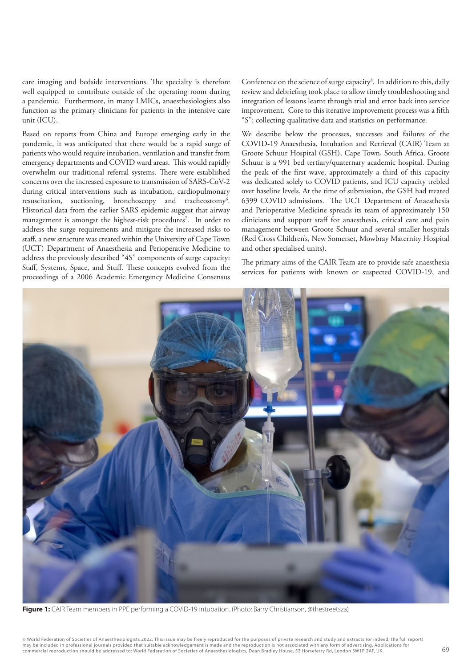care imaging and bedside interventions. The specialty is therefore well equipped to contribute outside of the operating room during a pandemic. Furthermore, in many LMICs, anaesthesiologists also function as the primary clinicians for patients in the intensive care unit (ICU).

Based on reports from China and Europe emerging early in the pandemic, it was anticipated that there would be a rapid surge of patients who would require intubation, ventilation and transfer from emergency departments and COVID ward areas. This would rapidly overwhelm our traditional referral systems. There were established concerns over the increased exposure to transmission of SARS-CoV-2 during critical interventions such as intubation, cardiopulmonary resuscitation, suctioning, bronchoscopy and tracheostomy<sup>6</sup>. Historical data from the earlier SARS epidemic suggest that airway management is amongst the highest-risk procedures<sup>7</sup>. In order to address the surge requirements and mitigate the increased risks to staff, a new structure was created within the University of Cape Town (UCT) Department of Anaesthesia and Perioperative Medicine to address the previously described "4S" components of surge capacity: Staff, Systems, Space, and Stuff. These concepts evolved from the proceedings of a 2006 Academic Emergency Medicine Consensus

Conference on the science of surge capacity<sup>8</sup>. In addition to this, daily review and debriefing took place to allow timely troubleshooting and integration of lessons learnt through trial and error back into service improvement. Core to this iterative improvement process was a fifth "S": collecting qualitative data and statistics on performance.

We describe below the processes, successes and failures of the COVID-19 Anaesthesia, Intubation and Retrieval (CAIR) Team at Groote Schuur Hospital (GSH), Cape Town, South Africa. Groote Schuur is a 991 bed tertiary/quaternary academic hospital. During the peak of the first wave, approximately a third of this capacity was dedicated solely to COVID patients, and ICU capacity trebled over baseline levels. At the time of submission, the GSH had treated 6399 COVID admissions. The UCT Department of Anaesthesia and Perioperative Medicine spreads its team of approximately 150 clinicians and support staff for anaesthesia, critical care and pain management between Groote Schuur and several smaller hospitals (Red Cross Children's, New Somerset, Mowbray Maternity Hospital and other specialised units).

The primary aims of the CAIR Team are to provide safe anaesthesia services for patients with known or suspected COVID-19, and



**Figure 1:** CAIR Team members in PPE performing a COVID-19 intubation. (Photo: Barry Christianson, @thestreetsza)

© World Federation of Societies of Anaesthesiologists 2022. This issue may be freely reproduced for the purposes of private research and study and extracts (or indeed, the full report) may be included in professional journals provided that suitable acknowledgement is made and the reproduction is not associated with any form of advertising. Applications for<br>commercial reproduction should be addressed to: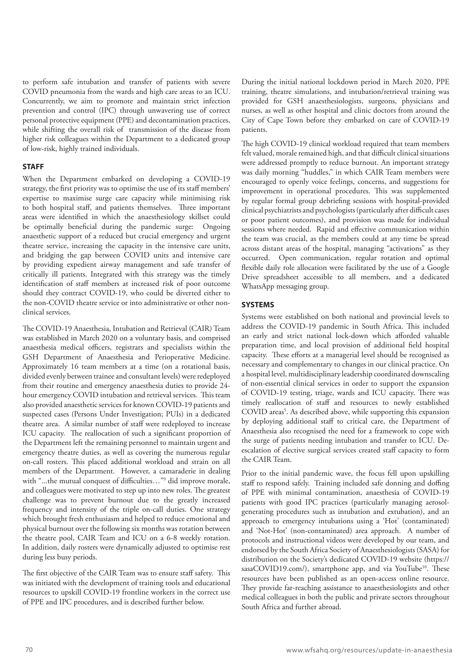to perform safe intubation and transfer of patients with severe COVID pneumonia from the wards and high care areas to an ICU. Concurrently, we aim to promote and maintain strict infection prevention and control (IPC) through unwavering use of correct personal protective equipment (PPE) and decontamination practices, while shifting the overall risk of transmission of the disease from higher risk colleagues within the Department to a dedicated group of low-risk, highly trained individuals.

#### **STAFF**

When the Department embarked on developing a COVID-19 strategy, the first priority was to optimise the use of its staff members' expertise to maximise surge care capacity while minimising risk to both hospital staff, and patients themselves. Three important areas were identified in which the anaesthesiology skillset could be optimally beneficial during the pandemic surge: Ongoing anaesthetic support of a reduced but crucial emergency and urgent theatre service, increasing the capacity in the intensive care units, and bridging the gap between COVID units and intensive care by providing expedient airway management and safe transfer of critically ill patients. Integrated with this strategy was the timely identification of staff members at increased risk of poor outcome should they contract COVID-19, who could be diverted either to the non-COVID theatre service or into administrative or other nonclinical services.

The COVID-19 Anaesthesia, Intubation and Retrieval (CAIR) Team was established in March 2020 on a voluntary basis, and comprised anaesthesia medical officers, registrars and specialists within the GSH Department of Anaesthesia and Perioperative Medicine. Approximately 16 team members at a time (on a rotational basis, divided evenly between trainee and consultant levels) were redeployed from their routine and emergency anaesthesia duties to provide 24 hour emergency COVID intubation and retrieval services. This team also provided anaesthetic services for known COVID-19 patients and suspected cases (Persons Under Investigation; PUIs) in a dedicated theatre area. A similar number of staff were redeployed to increase ICU capacity. The reallocation of such a significant proportion of the Department left the remaining personnel to maintain urgent and emergency theatre duties, as well as covering the numerous regular on-call rosters. This placed additional workload and strain on all members of the Department. However, a camaraderie in dealing with "...the mutual conquest of difficulties…"<sup>9</sup> did improve morale, and colleagues were motivated to step up into new roles. The greatest challenge was to prevent burnout due to the greatly increased frequency and intensity of the triple on-call duties. One strategy which brought fresh enthusiasm and helped to reduce emotional and physical burnout over the following six months was rotation between the theatre pool, CAIR Team and ICU on a 6-8 weekly rotation. In addition, daily rosters were dynamically adjusted to optimise rest during less busy periods.

The first objective of the CAIR Team was to ensure staff safety. This was initiated with the development of training tools and educational resources to upskill COVID-19 frontline workers in the correct use of PPE and IPC procedures, and is described further below.

During the initial national lockdown period in March 2020, PPE training, theatre simulations, and intubation/retrieval training was provided for GSH anaesthesiologists, surgeons, physicians and nurses, as well as other hospital and clinic doctors from around the City of Cape Town before they embarked on care of COVID-19 patients.

The high COVID-19 clinical workload required that team members felt valued, morale remained high, and that difficult clinical situations were addressed promptly to reduce burnout. An important strategy was daily morning "huddles," in which CAIR Team members were encouraged to openly voice feelings, concerns, and suggestions for improvement in operational procedures. This was supplemented by regular formal group debriefing sessions with hospital-provided clinical psychiatrists and psychologists (particularly after difficult cases or poor patient outcomes), and provision was made for individual sessions where needed. Rapid and effective communication within the team was crucial, as the members could at any time be spread across distant areas of the hospital, managing "activations" as they occurred. Open communication, regular rotation and optimal flexible daily role allocation were facilitated by the use of a Google Drive spreadsheet accessible to all members, and a dedicated WhatsApp messaging group.

#### **SYSTEMS**

Systems were established on both national and provincial levels to address the COVID-19 pandemic in South Africa. This included an early and strict national lock-down which afforded valuable preparation time, and local provision of additional field hospital capacity. These efforts at a managerial level should be recognised as necessary and complementary to changes in our clinical practice. On a hospital level, multidisciplinary leadership coordinated downscaling of non-essential clinical services in order to support the expansion of COVID-19 testing, triage, wards and ICU capacity. There was timely reallocation of staff and resources to newly established COVID areas<sup>5</sup>. As described above, while supporting this expansion by deploying additional staff to critical care, the Department of Anaesthesia also recognised the need for a framework to cope with the surge of patients needing intubation and transfer to ICU. Deescalation of elective surgical services created staff capacity to form the CAIR Team.

Prior to the initial pandemic wave, the focus fell upon upskilling staff to respond safely. Training included safe donning and doffing of PPE with minimal contamination, anaesthesia of COVID-19 patients with good IPC practices (particularly managing aerosolgenerating procedures such as intubation and extubation), and an approach to emergency intubations using a 'Hot' (contaminated) and 'Not-Hot' (non-contaminated) area approach. A number of protocols and instructional videos were developed by our team, and endorsed by the South Africa Society of Anaesthesiologists (SASA) for distribution on the Society's dedicated COVID-19 website (https:// sasaCOVID19.com/), smartphone app, and via YouTube<sup>10</sup>. These resources have been published as an open-access online resource. They provide far-reaching assistance to anaesthesiologists and other medical colleagues in both the public and private sectors throughout South Africa and further abroad.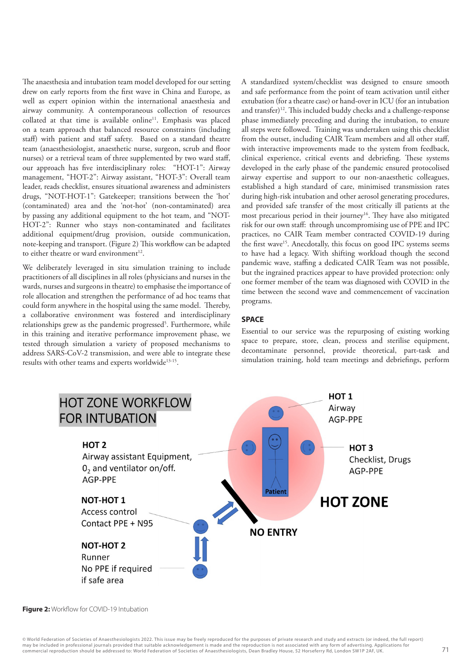The anaesthesia and intubation team model developed for our setting drew on early reports from the first wave in China and Europe, as well as expert opinion within the international anaesthesia and airway community. A contemporaneous collection of resources collated at that time is available online<sup>11</sup>. Emphasis was placed on a team approach that balanced resource constraints (including staff) with patient and staff safety. Based on a standard theatre team (anaesthesiologist, anaesthetic nurse, surgeon, scrub and floor nurses) or a retrieval team of three supplemented by two ward staff, our approach has five interdisciplinary roles: "HOT-1": Airway management, "HOT-2": Airway assistant, "HOT-3": Overall team leader, reads checklist, ensures situational awareness and administers drugs, "NOT-HOT-1": Gatekeeper; transitions between the 'hot' (contaminated) area and the 'not-hot' (non-contaminated) area by passing any additional equipment to the hot team, and "NOT-HOT-2": Runner who stays non-contaminated and facilitates additional equipment/drug provision, outside communication, note-keeping and transport. (Figure 2) This workflow can be adapted to either theatre or ward environment $^{12}$ .

We deliberately leveraged in situ simulation training to include practitioners of all disciplines in all roles (physicians and nurses in the wards, nurses and surgeons in theatre) to emphasise the importance of role allocation and strengthen the performance of ad hoc teams that could form anywhere in the hospital using the same model. Thereby, a collaborative environment was fostered and interdisciplinary relationships grew as the pandemic progressed<sup>5</sup>. Furthermore, while in this training and iterative performance improvement phase, we tested through simulation a variety of proposed mechanisms to address SARS-CoV-2 transmission, and were able to integrate these results with other teams and experts worldwide<sup>13-15</sup>.

A standardized system/checklist was designed to ensure smooth and safe performance from the point of team activation until either extubation (for a theatre case) or hand-over in ICU (for an intubation and transfer)<sup>12</sup>. This included buddy checks and a challenge-response phase immediately preceding and during the intubation, to ensure all steps were followed. Training was undertaken using this checklist from the outset, including CAIR Team members and all other staff, with interactive improvements made to the system from feedback, clinical experience, critical events and debriefing. These systems developed in the early phase of the pandemic ensured protocolised airway expertise and support to our non-anaesthetic colleagues, established a high standard of care, minimised transmission rates during high-risk intubation and other aerosol generating procedures, and provided safe transfer of the most critically ill patients at the most precarious period in their journey<sup>16</sup>. They have also mitigated risk for our own staff: through uncompromising use of PPE and IPC practices, no CAIR Team member contracted COVID-19 during the first wave<sup>15</sup>. Anecdotally, this focus on good IPC systems seems to have had a legacy. With shifting workload though the second pandemic wave, staffing a dedicated CAIR Team was not possible, but the ingrained practices appear to have provided protection: only one former member of the team was diagnosed with COVID in the time between the second wave and commencement of vaccination programs.

#### **SPACE**

Essential to our service was the repurposing of existing working space to prepare, store, clean, process and sterilise equipment, decontaminate personnel, provide theoretical, part-task and simulation training, hold team meetings and debriefings, perform

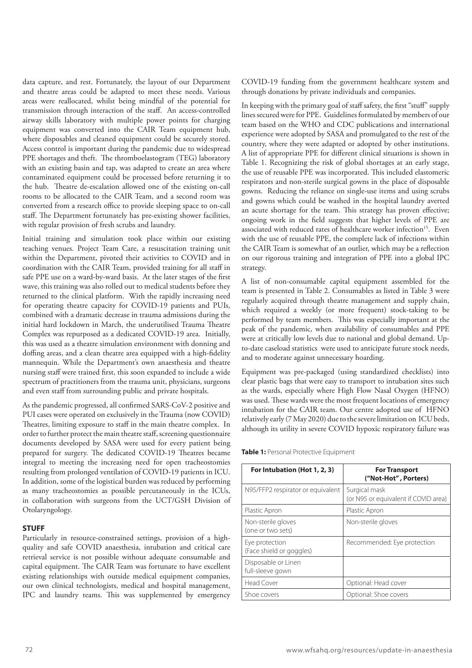data capture, and rest. Fortunately, the layout of our Department and theatre areas could be adapted to meet these needs. Various areas were reallocated, whilst being mindful of the potential for transmission through interaction of the staff. An access-controlled airway skills laboratory with multiple power points for charging equipment was converted into the CAIR Team equipment hub, where disposables and cleaned equipment could be securely stored. Access control is important during the pandemic due to widespread PPE shortages and theft. The thromboelastogram (TEG) laboratory with an existing basin and tap, was adapted to create an area where contaminated equipment could be processed before returning it to the hub. Theatre de-escalation allowed one of the existing on-call rooms to be allocated to the CAIR Team, and a second room was converted from a research office to provide sleeping space to on-call staff. The Department fortunately has pre-existing shower facilities, with regular provision of fresh scrubs and laundry.

Initial training and simulation took place within our existing teaching venues. Project Team Care, a resuscitation training unit within the Department, pivoted their activities to COVID and in coordination with the CAIR Team, provided training for all staff in safe PPE use on a ward-by-ward basis. At the later stages of the first wave, this training was also rolled out to medical students before they returned to the clinical platform. With the rapidly increasing need for operating theatre capacity for COVID-19 patients and PUIs, combined with a dramatic decrease in trauma admissions during the initial hard lockdown in March, the underutilised Trauma Theatre Complex was repurposed as a dedicated COVID-19 area. Initially, this was used as a theatre simulation environment with donning and doffing areas, and a clean theatre area equipped with a high-fidelity mannequin. While the Department's own anaesthesia and theatre nursing staff were trained first, this soon expanded to include a wide spectrum of practitioners from the trauma unit, physicians, surgeons and even staff from surrounding public and private hospitals.

As the pandemic progressed, all confirmed SARS-CoV-2 positive and PUI cases were operated on exclusively in the Trauma (now COVID) Theatres, limiting exposure to staff in the main theatre complex. In order to further protect the main theatre staff, screening questionnaire documents developed by SASA were used for every patient being prepared for surgery. The dedicated COVID-19 Theatres became integral to meeting the increasing need for open tracheostomies resulting from prolonged ventilation of COVID-19 patients in ICU. In addition, some of the logistical burden was reduced by performing as many tracheostomies as possible percutaneously in the ICUs, in collaboration with surgeons from the UCT/GSH Division of Otolaryngology.

#### **STUFF**

Particularly in resource-constrained settings, provision of a highquality and safe COVID anaesthesia, intubation and critical care retrieval service is not possible without adequate consumable and capital equipment. The CAIR Team was fortunate to have excellent existing relationships with outside medical equipment companies, our own clinical technologists, medical and hospital management, IPC and laundry teams. This was supplemented by emergency COVID-19 funding from the government healthcare system and through donations by private individuals and companies.

In keeping with the primary goal of staff safety, the first "stuff" supply lines secured were for PPE. Guidelines formulated by members of our team based on the WHO and CDC publications and international experience were adopted by SASA and promulgated to the rest of the country, where they were adapted or adopted by other institutions. A list of appropriate PPE for different clinical situations is shown in Table 1. Recognizing the risk of global shortages at an early stage, the use of reusable PPE was incorporated. This included elastomeric respirators and non-sterile surgical gowns in the place of disposable gowns. Reducing the reliance on single-use items and using scrubs and gowns which could be washed in the hospital laundry averted an acute shortage for the team. This strategy has proven effective; ongoing work in the field suggests that higher levels of PPE are associated with reduced rates of healthcare worker infection<sup>15</sup>. Even with the use of reusable PPE, the complete lack of infections within the CAIR Team is somewhat of an outlier, which may be a reflection on our rigorous training and integration of PPE into a global IPC strategy.

A list of non-consumable capital equipment assembled for the team is presented in Table 2. Consumables as listed in Table 3 were regularly acquired through theatre management and supply chain, which required a weekly (or more frequent) stock-taking to be performed by team members. This was especially important at the peak of the pandemic, when availability of consumables and PPE were at critically low levels due to national and global demand. Upto-date caseload statistics were used to anticipate future stock needs, and to moderate against unnecessary hoarding.

Equipment was pre-packaged (using standardized checklists) into clear plastic bags that were easy to transport to intubation sites such as the wards, especially where High Flow Nasal Oxygen (HFNO) was used. These wards were the most frequent locations of emergency intubation for the CAIR team. Our centre adopted use of HFNO relatively early (7 May 2020) due to the severe limitation on ICU beds, although its utility in severe COVID hypoxic respiratory failure was

**Table 1:** Personal Protective Equipment

| For Intubation (Hot 1, 2, 3)               | <b>For Transport</b><br>("Not-Hot", Porters)          |
|--------------------------------------------|-------------------------------------------------------|
| N95/FFP2 respirator or equivalent          | Surgical mask<br>(or N95 or equivalent if COVID area) |
| Plastic Apron                              | Plastic Apron                                         |
| Non-sterile gloves<br>(one or two sets)    | Non-sterile gloves                                    |
| Eye protection<br>(Face shield or goggles) | Recommended: Eye protection                           |
| Disposable or Linen<br>full-sleeve gown    |                                                       |
| <b>Head Cover</b>                          | Optional: Head cover                                  |
| Shoe covers                                | Optional: Shoe covers                                 |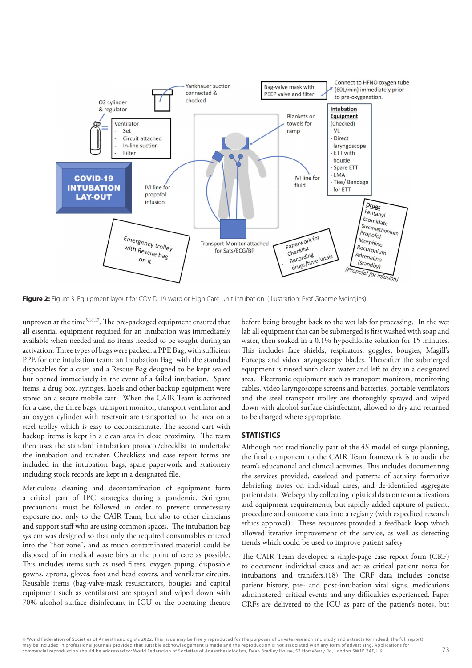

**Figure 2:** Figure 3. Equipment layout for COVID-19 ward or High Care Unit intubation. (Illustration: Prof Graeme Meintjies)

unproven at the time<sup>5,16,17</sup>. The pre-packaged equipment ensured that all essential equipment required for an intubation was immediately available when needed and no items needed to be sought during an activation. Three types of bags were packed: a PPE Bag, with sufficient PPE for one intubation team; an Intubation Bag, with the standard disposables for a case; and a Rescue Bag designed to be kept sealed but opened immediately in the event of a failed intubation. Spare items, a drug box, syringes, labels and other backup equipment were stored on a secure mobile cart. When the CAIR Team is activated for a case, the three bags, transport monitor, transport ventilator and an oxygen cylinder with reservoir are transported to the area on a steel trolley which is easy to decontaminate. The second cart with backup items is kept in a clean area in close proximity. The team then uses the standard intubation protocol/checklist to undertake the intubation and transfer. Checklists and case report forms are included in the intubation bags; spare paperwork and stationery including stock records are kept in a designated file.

Meticulous cleaning and decontamination of equipment form a critical part of IPC strategies during a pandemic. Stringent precautions must be followed in order to prevent unnecessary exposure not only to the CAIR Team, but also to other clinicians and support staff who are using common spaces. The intubation bag system was designed so that only the required consumables entered into the "hot zone", and as much contaminated material could be disposed of in medical waste bins at the point of care as possible. This includes items such as used filters, oxygen piping, disposable gowns, aprons, gloves, foot and head covers, and ventilator circuits. Reusable items (bag-valve-mask resuscitators, bougies and capital equipment such as ventilators) are sprayed and wiped down with 70% alcohol surface disinfectant in ICU or the operating theatre

before being brought back to the wet lab for processing. In the wet lab all equipment that can be submerged is first washed with soap and water, then soaked in a 0.1% hypochlorite solution for 15 minutes. This includes face shields, respirators, goggles, bougies, Magill's Forceps and video laryngoscopy blades. Thereafter the submerged equipment is rinsed with clean water and left to dry in a designated area. Electronic equipment such as transport monitors, monitoring cables, video laryngoscope screens and batteries, portable ventilators and the steel transport trolley are thoroughly sprayed and wiped down with alcohol surface disinfectant, allowed to dry and returned to be charged where appropriate.

#### **STATISTICS**

Although not traditionally part of the 4S model of surge planning, the final component to the CAIR Team framework is to audit the team's educational and clinical activities. This includes documenting the services provided, caseload and patterns of activity, formative debriefing notes on individual cases, and de-identified aggregate patient data. We began by collecting logistical data on team activations and equipment requirements, but rapidly added capture of patient, procedure and outcome data into a registry (with expedited research ethics approval). These resources provided a feedback loop which allowed iterative improvement of the service, as well as detecting trends which could be used to improve patient safety.

The CAIR Team developed a single-page case report form (CRF) to document individual cases and act as critical patient notes for intubations and transfers.(18) The CRF data includes concise patient history, pre- and post-intubation vital signs, medications administered, critical events and any difficulties experienced. Paper CRFs are delivered to the ICU as part of the patient's notes, but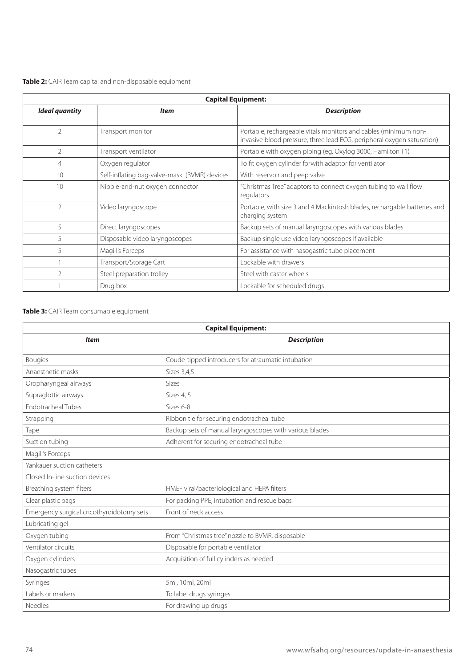| Table 2: CAIR Team capital and non-disposable equipment |  |  |
|---------------------------------------------------------|--|--|
|                                                         |  |  |

| <b>Capital Equipment:</b> |                                              |                                                                                                                                           |  |
|---------------------------|----------------------------------------------|-------------------------------------------------------------------------------------------------------------------------------------------|--|
| <b>Ideal quantity</b>     | <b>Item</b>                                  | <b>Description</b>                                                                                                                        |  |
| $\overline{2}$            | Transport monitor                            | Portable, rechargeable vitals monitors and cables (minimum non-<br>invasive blood pressure, three lead ECG, peripheral oxygen saturation) |  |
| 2                         | Transport ventilator                         | Portable with oxygen piping (eg. Oxylog 3000, Hamilton T1)                                                                                |  |
| $\overline{4}$            | Oxygen regulator                             | To fit oxygen cylinder forwith adaptor for ventilator                                                                                     |  |
| 10                        | Self-inflating bag-valve-mask (BVMR) devices | With reservoir and peep valve                                                                                                             |  |
| 10                        | Nipple-and-nut oxygen connector              | "Christmas Tree" adaptors to connect oxygen tubing to wall flow<br>regulators                                                             |  |
| $\mathfrak{D}$            | Video laryngoscope                           | Portable, with size 3 and 4 Mackintosh blades, rechargable batteries and<br>charging system                                               |  |
| 5                         | Direct laryngoscopes                         | Backup sets of manual laryngoscopes with various blades                                                                                   |  |
| 5                         | Disposable video laryngoscopes               | Backup single use video laryngoscopes if available                                                                                        |  |
| 5                         | Magill's Forceps                             | For assistance with nasogastric tube placement                                                                                            |  |
|                           | Transport/Storage Cart                       | Lockable with drawers                                                                                                                     |  |
| $\mathfrak{D}$            | Steel preparation trolley                    | Steel with caster wheels                                                                                                                  |  |
|                           | Drug box                                     | Lockable for scheduled drugs                                                                                                              |  |

### **Table 3:** CAIR Team consumable equipment

| <b>Capital Equipment:</b>                 |                                                         |  |
|-------------------------------------------|---------------------------------------------------------|--|
| <b>Item</b>                               | <b>Description</b>                                      |  |
| <b>Bougies</b>                            | Coude-tipped introducers for atraumatic intubation      |  |
| Anaesthetic masks                         | Sizes 3,4,5                                             |  |
| Oropharyngeal airways                     | <b>Sizes</b>                                            |  |
| Supraglottic airways                      | Sizes 4, 5                                              |  |
| <b>Endotracheal Tubes</b>                 | Sizes 6-8                                               |  |
| Strapping                                 | Ribbon tie for securing endotracheal tube               |  |
| Tape                                      | Backup sets of manual laryngoscopes with various blades |  |
| Suction tubing                            | Adherent for securing endotracheal tube                 |  |
| Magill's Forceps                          |                                                         |  |
| Yankauer suction catheters                |                                                         |  |
| Closed In-line suction devices            |                                                         |  |
| Breathing system filters                  | HMEF viral/bacteriological and HEPA filters             |  |
| Clear plastic bags                        | For packing PPE, intubation and rescue bags             |  |
| Emergency surgical cricothyroidotomy sets | Front of neck access                                    |  |
| Lubricating gel                           |                                                         |  |
| Oxygen tubing                             | From "Christmas tree" nozzle to BVMR, disposable        |  |
| Ventilator circuits                       | Disposable for portable ventilator                      |  |
| Oxygen cylinders                          | Acquisition of full cylinders as needed                 |  |
| Nasogastric tubes                         |                                                         |  |
| Syringes                                  | 5ml, 10ml, 20ml                                         |  |
| Labels or markers                         | To label drugs syringes                                 |  |
| <b>Needles</b>                            | For drawing up drugs                                    |  |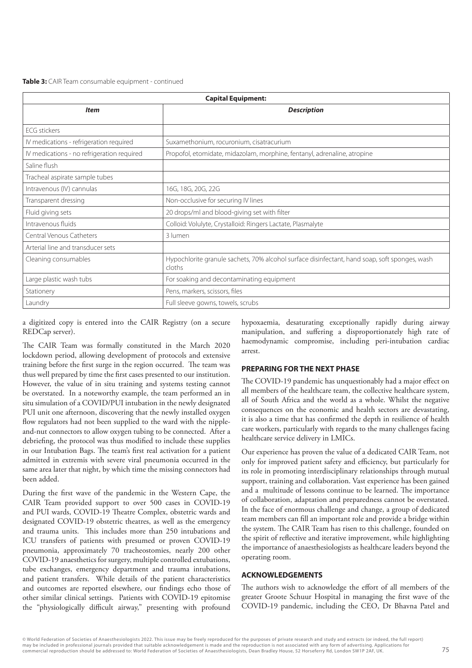| Table 3: CAIR Team consumable equipment - continued |  |
|-----------------------------------------------------|--|
|-----------------------------------------------------|--|

| <b>Capital Equipment:</b>                  |                                                                                                         |  |
|--------------------------------------------|---------------------------------------------------------------------------------------------------------|--|
| <b>Item</b>                                | <b>Description</b>                                                                                      |  |
| <b>ECG</b> stickers                        |                                                                                                         |  |
| IV medications - refrigeration required    | Suxamethonium, rocuronium, cisatracurium                                                                |  |
| IV medications - no refrigeration required | Propofol, etomidate, midazolam, morphine, fentanyl, adrenaline, atropine                                |  |
| Saline flush                               |                                                                                                         |  |
| Tracheal aspirate sample tubes             |                                                                                                         |  |
| Intravenous (IV) cannulas                  | 16G, 18G, 20G, 22G                                                                                      |  |
| Transparent dressing                       | Non-occlusive for securing IV lines                                                                     |  |
| Fluid giving sets                          | 20 drops/ml and blood-giving set with filter                                                            |  |
| Intravenous fluids                         | Colloid: Volulyte, Crystalloid: Ringers Lactate, Plasmalyte                                             |  |
| Central Venous Catheters                   | 3 lumen                                                                                                 |  |
| Arterial line and transducer sets          |                                                                                                         |  |
| Cleaning consumables                       | Hypochlorite granule sachets, 70% alcohol surface disinfectant, hand soap, soft sponges, wash<br>cloths |  |
| Large plastic wash tubs                    | For soaking and decontaminating equipment                                                               |  |
| Stationery                                 | Pens, markers, scissors, files                                                                          |  |
| Laundry                                    | Full sleeve gowns, towels, scrubs                                                                       |  |

a digitized copy is entered into the CAIR Registry (on a secure REDCap server).

The CAIR Team was formally constituted in the March 2020 lockdown period, allowing development of protocols and extensive training before the first surge in the region occurred. The team was thus well prepared by time the first cases presented to our institution. However, the value of in situ training and systems testing cannot be overstated. In a noteworthy example, the team performed an in situ simulation of a COVID/PUI intubation in the newly designated PUI unit one afternoon, discovering that the newly installed oxygen flow regulators had not been supplied to the ward with the nippleand-nut connectors to allow oxygen tubing to be connected. After a debriefing, the protocol was thus modified to include these supplies in our Intubation Bags. The team's first real activation for a patient admitted in extremis with severe viral pneumonia occurred in the same area later that night, by which time the missing connectors had been added.

During the first wave of the pandemic in the Western Cape, the CAIR Team provided support to over 500 cases in COVID-19 and PUI wards, COVID-19 Theatre Complex, obstetric wards and designated COVID-19 obstetric theatres, as well as the emergency and trauma units. This includes more than 250 intubations and ICU transfers of patients with presumed or proven COVID-19 pneumonia, approximately 70 tracheostomies, nearly 200 other COVID-19 anaesthetics for surgery, multiple controlled extubations, tube exchanges, emergency department and trauma intubations, and patient transfers. While details of the patient characteristics and outcomes are reported elsewhere, our findings echo those of other similar clinical settings. Patients with COVID-19 epitomise the "physiologically difficult airway," presenting with profound

hypoxaemia, desaturating exceptionally rapidly during airway manipulation, and suffering a disproportionately high rate of haemodynamic compromise, including peri-intubation cardiac arrest.

#### **PREPARING FOR THE NEXT PHASE**

The COVID-19 pandemic has unquestionably had a major effect on all members of the healthcare team, the collective healthcare system, all of South Africa and the world as a whole. Whilst the negative consequences on the economic and health sectors are devastating, it is also a time that has confirmed the depth in resilience of health care workers, particularly with regards to the many challenges facing healthcare service delivery in LMICs.

Our experience has proven the value of a dedicated CAIR Team, not only for improved patient safety and efficiency, but particularly for its role in promoting interdisciplinary relationships through mutual support, training and collaboration. Vast experience has been gained and a multitude of lessons continue to be learned. The importance of collaboration, adaptation and preparedness cannot be overstated. In the face of enormous challenge and change, a group of dedicated team members can fill an important role and provide a bridge within the system. The CAIR Team has risen to this challenge, founded on the spirit of reflective and iterative improvement, while highlighting the importance of anaesthesiologists as healthcare leaders beyond the operating room.

#### **ACKNOWLEDGEMENTS**

The authors wish to acknowledge the effort of all members of the greater Groote Schuur Hospital in managing the first wave of the COVID-19 pandemic, including the CEO, Dr Bhavna Patel and